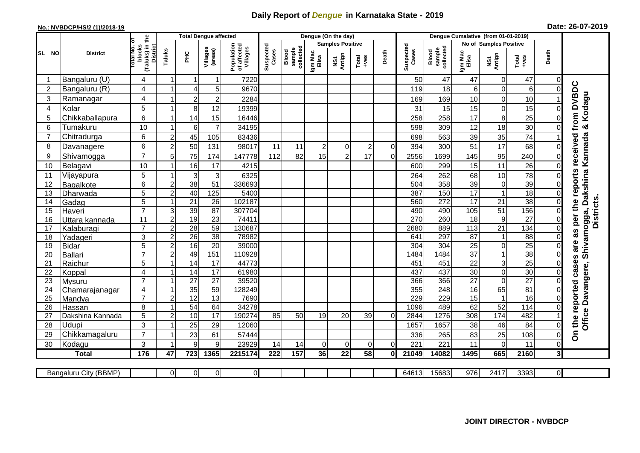## **Daily Report of** *Dengue* **in Karnataka State - 2019**

## **No.: NVBDCP/HS/2 (1)/2018-19 Date: 26-07-2019**

|                                                                                                                                                     | <b>District</b>  |                                                              | <b>Total Dengue affected</b> |                 |                     |                                       |                    |                              | Dengue (On the day)     |                |                 |          |                    |                              |                  |                               |                   |                         |                                                     |
|-----------------------------------------------------------------------------------------------------------------------------------------------------|------------------|--------------------------------------------------------------|------------------------------|-----------------|---------------------|---------------------------------------|--------------------|------------------------------|-------------------------|----------------|-----------------|----------|--------------------|------------------------------|------------------|-------------------------------|-------------------|-------------------------|-----------------------------------------------------|
|                                                                                                                                                     |                  |                                                              |                              |                 |                     |                                       |                    |                              | <b>Samples Positive</b> |                |                 |          |                    |                              |                  | <b>No of Samples Positive</b> |                   |                         |                                                     |
| SL NO                                                                                                                                               |                  | (Taluks) in the<br>Total No. of<br>blocks<br><b>District</b> | Taluks                       | <b>PHC</b>      | Villages<br>(areas) | Population<br>of affected<br>Villages | Suspected<br>Cases | collected<br>sample<br>Blood | Igm Mac<br>Elisa        | NS1<br>Antign  | $Total$         | Death    | Suspected<br>Cases | collected<br>sample<br>Blood | Igm Mac<br>Elisa | NS1<br>Antign                 | Total<br>+ves     | Death                   |                                                     |
|                                                                                                                                                     | Bangaluru (U)    | 4                                                            | -1                           | -1              | 1                   | 7220                                  |                    |                              |                         |                |                 |          | 50                 | 47                           | 47               | $\mathbf 0$                   | 47                | $\overline{0}$          |                                                     |
| $\overline{2}$                                                                                                                                      | Bangaluru (R)    | 4                                                            |                              | 4               | 5                   | 9670                                  |                    |                              |                         |                |                 |          | 119                | 18                           | 6                | $\mathbf 0$                   | $6\phantom{1}6$   | $\Omega$                |                                                     |
| 3                                                                                                                                                   | Ramanagar        | 4                                                            |                              | $\mathbf 2$     | $\overline{2}$      | 2284                                  |                    |                              |                         |                |                 |          | 169                | 169                          | 10               | $\mathsf 0$                   | 10                |                         | & Kodagu                                            |
| 4                                                                                                                                                   | Kolar            | 5                                                            |                              | 8               | 12                  | 19399                                 |                    |                              |                         |                |                 |          | 31                 | 15                           | 15               | $\mathsf 0$                   | 15                | 0                       |                                                     |
| 5                                                                                                                                                   | Chikkaballapura  | 6                                                            |                              | 14              | 15                  | 16446                                 |                    |                              |                         |                |                 |          | 258                | 258                          | 17               | 8                             | 25                | $\overline{0}$          |                                                     |
| 6                                                                                                                                                   | Tumakuru         | 10                                                           |                              | 6               | $\overline{7}$      | 34195                                 |                    |                              |                         |                |                 |          | 598                | 309                          | 12               | 18                            | 30                | 0                       |                                                     |
| $\overline{7}$                                                                                                                                      | Chitradurga      | 6                                                            | $\overline{c}$               | 45              | 105                 | 83436                                 |                    |                              |                         |                |                 |          | 698                | 563                          | 39               | 35                            | 74                |                         |                                                     |
| 8                                                                                                                                                   | Davanagere       | 6                                                            | $\overline{2}$               | 50              | 131                 | 98017                                 | 11                 | 11                           | $\overline{a}$          | 0              | $\overline{2}$  | 0        | 394                | 300                          | 51               | 17                            | 68                | $\Omega$                |                                                     |
| 9                                                                                                                                                   | Shivamogga       | $\overline{7}$                                               | 5                            | 75              | 174                 | 147778                                | 112                | 82                           | 15                      | $\overline{2}$ | 17              | $\Omega$ | 2556               | 1699                         | 145              | 95                            | 240               | 0                       | received from DVBDC<br>Shivamogga, Dakshina Kannada |
| 10                                                                                                                                                  | Belagavi         | 10                                                           |                              | 16              | 17                  | 4215                                  |                    |                              |                         |                |                 |          | 600                | 299                          | 15               | 11                            | 26                | 0                       |                                                     |
| 11                                                                                                                                                  | Vijayapura       | 5                                                            |                              | $\mathbf{3}$    | 3                   | 6325                                  |                    |                              |                         |                |                 |          | 264                | 262                          | 68               | 10                            | 78                | 0                       | per the reports                                     |
| 12                                                                                                                                                  | Bagalkote        | 6                                                            | $\overline{c}$               | 38              | $\overline{51}$     | 336693                                |                    |                              |                         |                |                 |          | 504                | 358                          | 39               | $\mathbf 0$                   | 39                | $\Omega$                |                                                     |
| 13                                                                                                                                                  | Dharwada         | 5                                                            | $\overline{2}$               | 40              | 125                 | 5400                                  |                    |                              |                         |                |                 |          | 387                | 150                          | 17               | $\mathbf{1}$                  | 18                | $\mathbf 0$             |                                                     |
| 14                                                                                                                                                  | Gadag            | 5                                                            | $\overline{\mathbf{1}}$      | 21              | $\overline{26}$     | 102187                                |                    |                              |                         |                |                 |          | 560                | 272                          | $\overline{17}$  | $\overline{21}$               | 38                | $\mathbf 0$             | <b>Districts</b>                                    |
| 15                                                                                                                                                  | Haveri           | $\overline{7}$                                               | 3                            | 39              | 87                  | 307704                                |                    |                              |                         |                |                 |          | 490                | 490                          | 105              | 51                            | 156               | $\overline{0}$          |                                                     |
| 16                                                                                                                                                  | Uttara kannada   | 11                                                           | $\overline{c}$               | 19              | $\overline{23}$     | 74411                                 |                    |                              |                         |                |                 |          | 270                | 260                          | 18               | $\boldsymbol{9}$              | $\overline{27}$   | $\mathbf 0$             |                                                     |
| 17                                                                                                                                                  | Kalaburagi       | $\overline{7}$                                               | $\overline{2}$               | $\overline{28}$ | $\overline{59}$     | 130687                                |                    |                              |                         |                |                 |          | 2680               | 889                          | 113              | $\overline{21}$               | 134               | $\Omega$                | as                                                  |
| 18                                                                                                                                                  | Yadageri         | 3                                                            | $\overline{c}$               | 26              | 38                  | 78982                                 |                    |                              |                         |                |                 |          | 641                | 297                          | 87               | $\mathbf{1}$                  | $\overline{88}$   | 0                       |                                                     |
| 19                                                                                                                                                  | <b>Bidar</b>     | 5                                                            | $\overline{2}$               | 16              | $\overline{20}$     | 39000                                 |                    |                              |                         |                |                 |          | 304                | 304                          | $\overline{25}$  | $\mathbf 0$                   | $\overline{25}$   | 0                       | are                                                 |
| 20                                                                                                                                                  | Ballari          | $\overline{7}$                                               | 2                            | 49              | 151                 | 110928                                |                    |                              |                         |                |                 |          | 1484               | 1484                         | $\overline{37}$  | $\mathbf{1}$                  | 38                | $\Omega$                |                                                     |
| 21                                                                                                                                                  | Raichur          | 5                                                            |                              | $\overline{14}$ | $\overline{17}$     | 44773                                 |                    |                              |                         |                |                 |          | 451                | 451                          | $\overline{22}$  | 3                             | $\overline{25}$   | $\Omega$                | cases                                               |
| 22                                                                                                                                                  | Koppal           | 4                                                            |                              | 14              | 17                  | 61980                                 |                    |                              |                         |                |                 |          | 437                | 437                          | 30               | $\mathbf 0$                   | 30                | 0                       |                                                     |
| 23                                                                                                                                                  | Mysuru           | $\overline{7}$                                               |                              | $\overline{27}$ | $\overline{27}$     | 39520                                 |                    |                              |                         |                |                 |          | 366                | 366                          | $\overline{27}$  | $\overline{0}$                | $\overline{27}$   | $\Omega$                |                                                     |
| 24                                                                                                                                                  | Chamarajanagar   | 4                                                            |                              | 35              | 59                  | 128249                                |                    |                              |                         |                |                 |          | 355                | 248                          | 16               | 65                            | 81                | 0                       |                                                     |
| 25                                                                                                                                                  | Mandya           | $\overline{7}$                                               | $\overline{2}$               | $\overline{12}$ | $\overline{13}$     | 7690                                  |                    |                              |                         |                |                 |          | 229                | 229                          | 15               | $\mathbf{1}$                  | 16                | $\overline{0}$          |                                                     |
| 26                                                                                                                                                  | Hassan           | 8                                                            |                              | 54              | 64                  | 34278                                 |                    |                              |                         |                |                 |          | 1096               | 489                          | 62               | 52                            | $\frac{114}{114}$ | $\mathsf{O}\xspace$     |                                                     |
| 27                                                                                                                                                  | Dakshina Kannada | 5                                                            | $\overline{2}$               | 10              | 17                  | 190274                                | 85                 | 50                           | 19                      | 20             | 39              | $\Omega$ | 2844               | 1276                         | 308              | 174                           | 482               |                         | Office Davangere,                                   |
| 28                                                                                                                                                  | Udupi            | 3                                                            |                              | 25              | 29                  | 12060                                 |                    |                              |                         |                |                 |          | 1657               | 1657                         | 38               | 46                            | 84                | $\overline{0}$          | On the reported                                     |
| 29                                                                                                                                                  | Chikkamagaluru   | $\overline{7}$                                               |                              | 23              | 61                  | 57444                                 |                    |                              |                         |                |                 |          | 336                | 265                          | 83               | 25                            | 108               | 0                       |                                                     |
| 30                                                                                                                                                  | Kodagu           | 3                                                            |                              | 9               | 9                   | 23929                                 | 14                 | 14                           | $\Omega$                | $\Omega$       | $\Omega$        | $\Omega$ | 221                | 221                          | 11               | 0                             | 11                | 0                       |                                                     |
|                                                                                                                                                     | <b>Total</b>     | 176                                                          | 47                           | 723             | 1365                | 2215174                               | 222                | 157                          | 36                      | 22             | $\overline{58}$ | Οl       | 21049              | 14082                        | 1495             | 665                           | 2160              | $\overline{\mathbf{3}}$ |                                                     |
| $\overline{0}$<br>$\overline{O}$<br>15683<br>$\overline{976}$<br>3393<br>Bangaluru City (BBMP)<br>$\overline{0}$<br>64613<br>2417<br>οI<br>$\Omega$ |                  |                                                              |                              |                 |                     |                                       |                    |                              |                         |                |                 |          |                    |                              |                  |                               |                   |                         |                                                     |